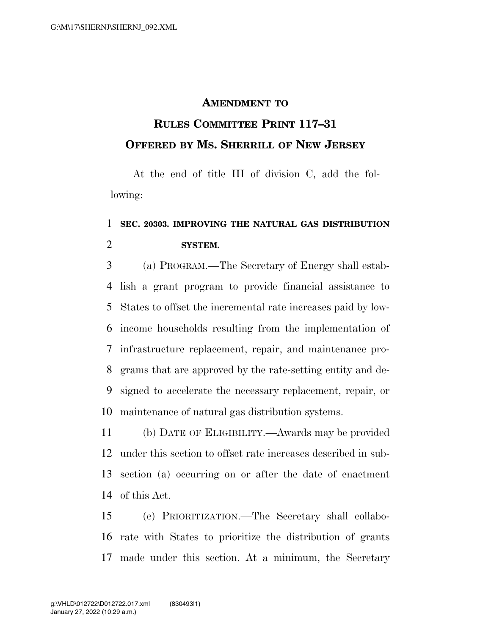## **AMENDMENT TO**

## **RULES COMMITTEE PRINT 117–31 OFFERED BY MS. SHERRILL OF NEW JERSEY**

At the end of title III of division C, add the following:

## **SEC. 20303. IMPROVING THE NATURAL GAS DISTRIBUTION SYSTEM.**

 (a) PROGRAM.—The Secretary of Energy shall estab- lish a grant program to provide financial assistance to States to offset the incremental rate increases paid by low- income households resulting from the implementation of infrastructure replacement, repair, and maintenance pro- grams that are approved by the rate-setting entity and de- signed to accelerate the necessary replacement, repair, or maintenance of natural gas distribution systems.

 (b) DATE OF ELIGIBILITY.—Awards may be provided under this section to offset rate increases described in sub- section (a) occurring on or after the date of enactment of this Act.

 (c) PRIORITIZATION.—The Secretary shall collabo- rate with States to prioritize the distribution of grants made under this section. At a minimum, the Secretary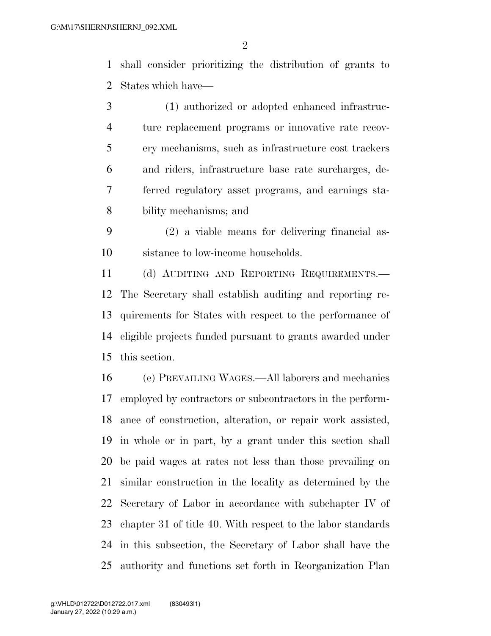shall consider prioritizing the distribution of grants to States which have—

 (1) authorized or adopted enhanced infrastruc- ture replacement programs or innovative rate recov- ery mechanisms, such as infrastructure cost trackers and riders, infrastructure base rate surcharges, de- ferred regulatory asset programs, and earnings sta-bility mechanisms; and

 (2) a viable means for delivering financial as-sistance to low-income households.

 (d) AUDITING AND REPORTING REQUIREMENTS.— The Secretary shall establish auditing and reporting re- quirements for States with respect to the performance of eligible projects funded pursuant to grants awarded under this section.

 (e) PREVAILING WAGES.—All laborers and mechanics employed by contractors or subcontractors in the perform- ance of construction, alteration, or repair work assisted, in whole or in part, by a grant under this section shall be paid wages at rates not less than those prevailing on similar construction in the locality as determined by the Secretary of Labor in accordance with subchapter IV of chapter 31 of title 40. With respect to the labor standards in this subsection, the Secretary of Labor shall have the authority and functions set forth in Reorganization Plan